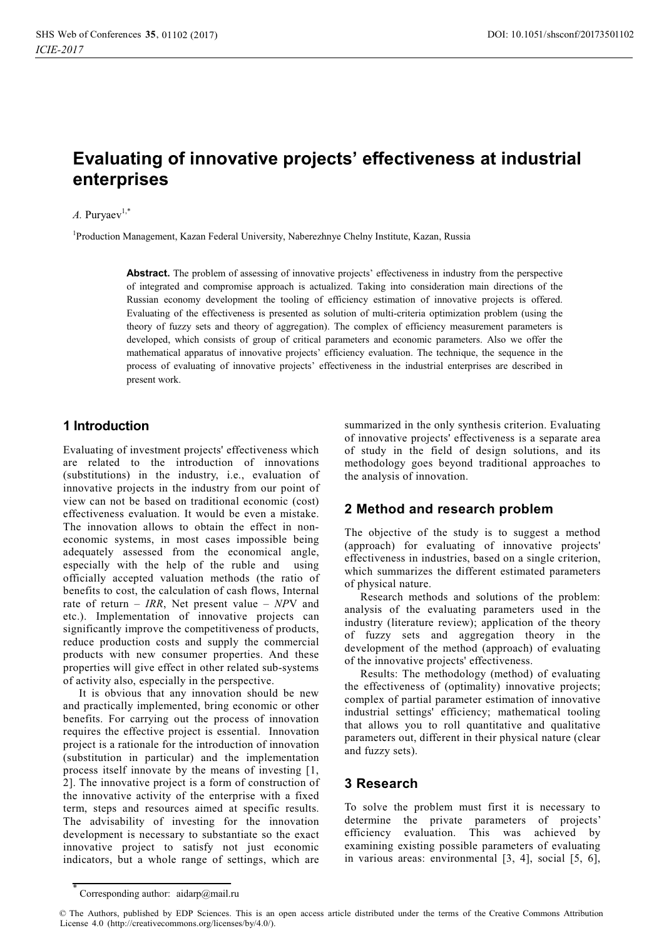# **Evaluating of innovative projects' effectiveness at industrial enterprises**

#### $A.$  Purvaev<sup>1,\*</sup>

1 Production Management, Kazan Federal University, Naberezhnye Chelny Institute, Kazan, Russia

**Abstract.** The problem of assessing of innovative projects' effectiveness in industry from the perspective of integrated and compromise approach is actualized. Taking into consideration main directions of the Russian economy development the tooling of efficiency estimation of innovative projects is offered. Evaluating of the effectiveness is presented as solution of multi-criteria optimization problem (using the theory of fuzzy sets and theory of aggregation). The complex of efficiency measurement parameters is developed, which consists of group of critical parameters and economic parameters. Also we offer the mathematical apparatus of innovative projects' efficiency evaluation. The technique, the sequence in the process of evaluating of innovative projects' effectiveness in the industrial enterprises are described in present work.

#### **1 Introduction**

Evaluating of investment projects' effectiveness which are related to the introduction of innovations (substitutions) in the industry, i.e., evaluation of innovative projects in the industry from our point of view can not be based on traditional economic (cost) effectiveness evaluation. It would be even a mistake. The innovation allows to obtain the effect in noneconomic systems, in most cases impossible being adequately assessed from the economical angle, especially with the help of the ruble and using officially accepted valuation methods (the ratio of benefits to cost, the calculation of cash flows, Internal rate of return – *IRR*, Net present value – *NP*V and etc.). Implementation of innovative projects can significantly improve the competitiveness of products, reduce production costs and supply the commercial products with new consumer properties. And these properties will give effect in other related sub-systems of activity also, especially in the perspective.

It is obvious that any innovation should be new and practically implemented, bring economic or other benefits. For carrying out the process of innovation requires the effective project is essential. Innovation project is a rationale for the introduction of innovation (substitution in particular) and the implementation process itself innovate by the means of investing [1, 2]. The innovative project is a form of construction of the innovative activity of the enterprise with a fixed term, steps and resources aimed at specific results. The advisability of investing for the innovation development is necessary to substantiate so the exact innovative project to satisfy not just economic indicators, but a whole range of settings, which are

summarized in the only synthesis criterion. Evaluating of innovative projects' effectiveness is a separate area of study in the field of design solutions, and its methodology goes beyond traditional approaches to the analysis of innovation.

### **2 Method and research problem**

The objective of the study is to suggest a method (approach) for evaluating of innovative projects' effectiveness in industries, based on a single criterion, which summarizes the different estimated parameters of physical nature.

Research methods and solutions of the problem: analysis of the evaluating parameters used in the industry (literature review); application of the theory of fuzzy sets and aggregation theory in the development of the method (approach) of evaluating of the innovative projects' effectiveness.

Results: The methodology (method) of evaluating the effectiveness of (optimality) innovative projects; complex of partial parameter estimation of innovative industrial settings' efficiency; mathematical tooling that allows you to roll quantitative and qualitative parameters out, different in their physical nature (clear and fuzzy sets).

### **3 Research**

To solve the problem must first it is necessary to determine the private parameters of projects' efficiency evaluation. This was achieved by examining existing possible parameters of evaluating in various areas: environmental [3, 4], social [5, 6],

<sup>\*</sup> Corresponding author: aidarp@mail.ru

<sup>©</sup> The Authors, published by EDP Sciences. This is an open access article distributed under the terms of the Creative Commons Attribution License 4.0 (http://creativecommons.org/licenses/by/4.0/).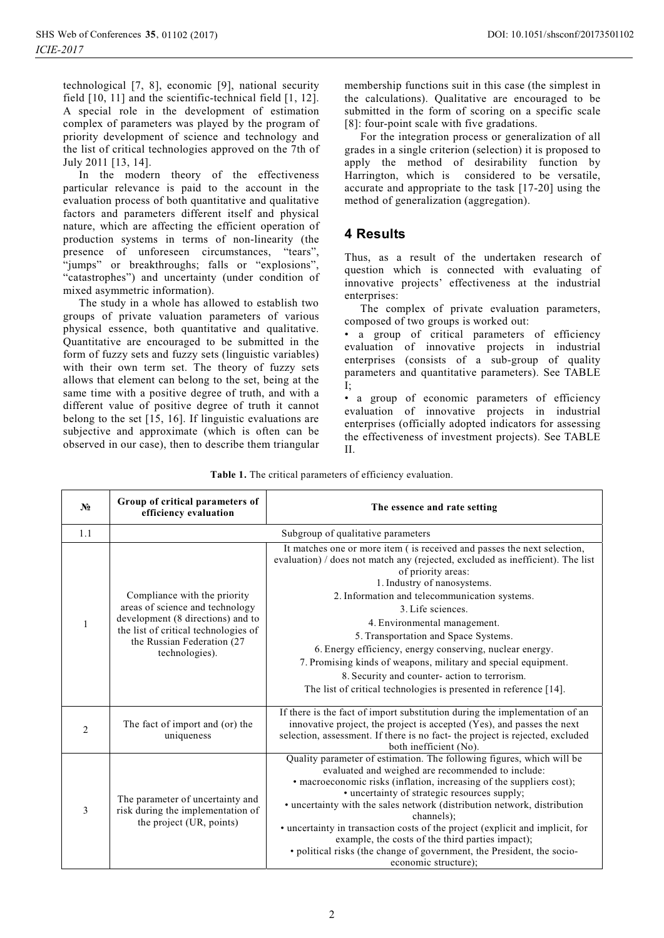technological [7, 8], economic [9], national security field [10, 11] and the scientific-technical field [1, 12]. A special role in the development of estimation complex of parameters was played by the program of priority development of science and technology and the list of critical technologies approved on the 7th of July 2011 [13, 14].

In the modern theory of the effectiveness particular relevance is paid to the account in the evaluation process of both quantitative and qualitative factors and parameters different itself and physical nature, which are affecting the efficient operation of production systems in terms of non-linearity (the presence of unforeseen circumstances, "tears", "jumps" or breakthroughs; falls or "explosions", "catastrophes") and uncertainty (under condition of mixed asymmetric information).

The study in a whole has allowed to establish two groups of private valuation parameters of various physical essence, both quantitative and qualitative. Quantitative are encouraged to be submitted in the form of fuzzy sets and fuzzy sets (linguistic variables) with their own term set. The theory of fuzzy sets allows that element can belong to the set, being at the same time with a positive degree of truth, and with a different value of positive degree of truth it cannot belong to the set [15, 16]. If linguistic evaluations are subjective and approximate (which is often can be observed in our case), then to describe them triangular

membership functions suit in this case (the simplest in the calculations). Qualitative are encouraged to be submitted in the form of scoring on a specific scale [8]: four-point scale with five gradations.

For the integration process or generalization of all grades in a single criterion (selection) it is proposed to apply the method of desirability function by Harrington, which is considered to be versatile, accurate and appropriate to the task [17-20] using the method of generalization (aggregation).

## **4 Results**

Thus, as a result of the undertaken research of question which is connected with evaluating of innovative projects' effectiveness at the industrial enterprises:

The complex of private evaluation parameters, composed of two groups is worked out:

- a group of critical parameters of efficiency evaluation of innovative projects in industrial enterprises (consists of a sub-group of quality parameters and quantitative parameters). See TABLE I;

- a group of economic parameters of efficiency evaluation of innovative projects in industrial enterprises (officially adopted indicators for assessing the effectiveness of investment projects). See TABLE II.

| Table 1. The critical parameters of efficiency evaluation. |  |  |
|------------------------------------------------------------|--|--|
|                                                            |  |  |

| N <sub>2</sub> | Group of critical parameters of<br>efficiency evaluation                                                                                                                                      | The essence and rate setting                                                                                                                                                                                                                                                                                                                                                                                                                                                                                                                                                                                     |  |
|----------------|-----------------------------------------------------------------------------------------------------------------------------------------------------------------------------------------------|------------------------------------------------------------------------------------------------------------------------------------------------------------------------------------------------------------------------------------------------------------------------------------------------------------------------------------------------------------------------------------------------------------------------------------------------------------------------------------------------------------------------------------------------------------------------------------------------------------------|--|
| 1.1            |                                                                                                                                                                                               | Subgroup of qualitative parameters                                                                                                                                                                                                                                                                                                                                                                                                                                                                                                                                                                               |  |
| $\mathbf{1}$   | Compliance with the priority<br>areas of science and technology<br>development (8 directions) and to<br>the list of critical technologies of<br>the Russian Federation (27)<br>technologies). | It matches one or more item (is received and passes the next selection,<br>evaluation) / does not match any (rejected, excluded as inefficient). The list<br>of priority areas:<br>1. Industry of nanosystems.<br>2. Information and telecommunication systems.<br>3. Life sciences.<br>4. Environmental management.<br>5. Transportation and Space Systems.<br>6. Energy efficiency, energy conserving, nuclear energy.<br>7. Promising kinds of weapons, military and special equipment.<br>8. Security and counter- action to terrorism.<br>The list of critical technologies is presented in reference [14]. |  |
| 2              | The fact of import and (or) the<br>uniqueness                                                                                                                                                 | If there is the fact of import substitution during the implementation of an<br>innovative project, the project is accepted (Yes), and passes the next<br>selection, assessment. If there is no fact- the project is rejected, excluded<br>both inefficient (No).                                                                                                                                                                                                                                                                                                                                                 |  |
| $\mathfrak{Z}$ | The parameter of uncertainty and<br>risk during the implementation of<br>the project (UR, points)                                                                                             | Quality parameter of estimation. The following figures, which will be<br>evaluated and weighed are recommended to include:<br>• macroeconomic risks (inflation, increasing of the suppliers cost);<br>• uncertainty of strategic resources supply;<br>• uncertainty with the sales network (distribution network, distribution<br>channels);<br>· uncertainty in transaction costs of the project (explicit and implicit, for<br>example, the costs of the third parties impact);<br>· political risks (the change of government, the President, the socio-<br>economic structure);                              |  |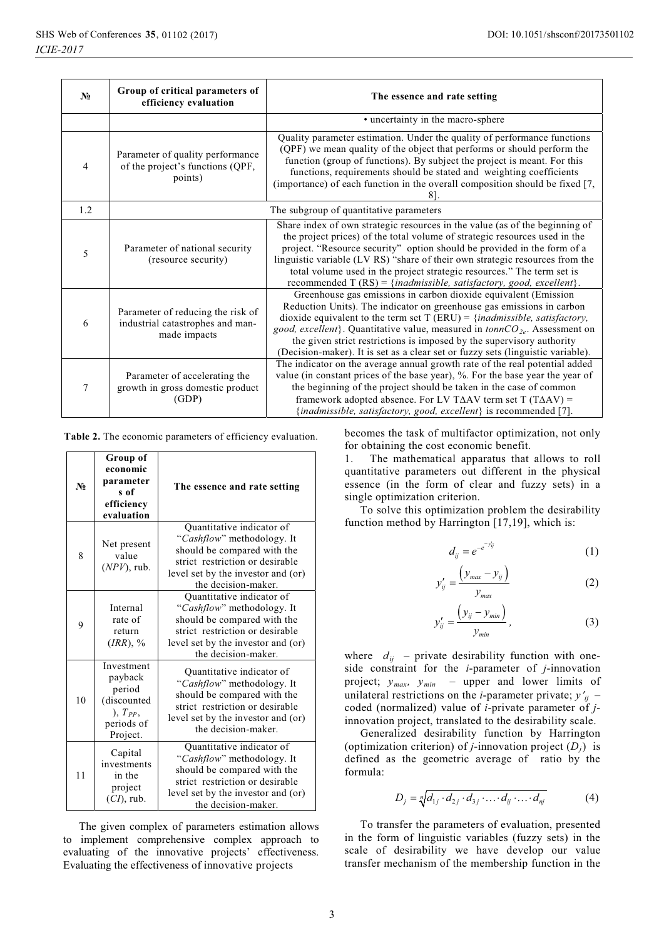| $N_2$          | Group of critical parameters of<br>efficiency evaluation                              | The essence and rate setting                                                                                                                                                                                                                                                                                                                                                                                                                                              |
|----------------|---------------------------------------------------------------------------------------|---------------------------------------------------------------------------------------------------------------------------------------------------------------------------------------------------------------------------------------------------------------------------------------------------------------------------------------------------------------------------------------------------------------------------------------------------------------------------|
|                |                                                                                       | • uncertainty in the macro-sphere                                                                                                                                                                                                                                                                                                                                                                                                                                         |
| $\overline{4}$ | Parameter of quality performance<br>of the project's functions (QPF,<br>points)       | Quality parameter estimation. Under the quality of performance functions<br>(QPF) we mean quality of the object that performs or should perform the<br>function (group of functions). By subject the project is meant. For this<br>functions, requirements should be stated and weighting coefficients<br>(importance) of each function in the overall composition should be fixed [7,<br>81.                                                                             |
| 1.2            | The subgroup of quantitative parameters                                               |                                                                                                                                                                                                                                                                                                                                                                                                                                                                           |
| 5              | Parameter of national security<br>(resource security)                                 | Share index of own strategic resources in the value (as of the beginning of<br>the project prices) of the total volume of strategic resources used in the<br>project. "Resource security" option should be provided in the form of a<br>linguistic variable (LV RS) "share of their own strategic resources from the<br>total volume used in the project strategic resources." The term set is<br>recommended T $(RS) = \{inadmissible, satisfactory, good, excellent\}.$ |
| 6              | Parameter of reducing the risk of<br>industrial catastrophes and man-<br>made impacts | Greenhouse gas emissions in carbon dioxide equivalent (Emission<br>Reduction Units). The indicator on greenhouse gas emissions in carbon<br>dioxide equivalent to the term set $T (ERU) = \{inadmissible, satisfactory,$<br>good, excellent}. Quantitative value, measured in $tonnCO_{2e}$ . Assessment on<br>the given strict restrictions is imposed by the supervisory authority<br>(Decision-maker). It is set as a clear set or fuzzy sets (linguistic variable).   |
| 7              | Parameter of accelerating the<br>growth in gross domestic product<br>(GDP)            | The indicator on the average annual growth rate of the real potential added<br>value (in constant prices of the base year), %. For the base year the year of<br>the beginning of the project should be taken in the case of common<br>framework adopted absence. For LV T $\triangle$ AV term set T (T $\triangle$ AV) =<br>{inadmissible, satisfactory, good, excellent} is recommended [7].                                                                             |

**Table 2.** The economic parameters of efficiency evaluation.

| $N_2$ | Group of<br>economic<br>parameter<br>s of<br>efficiency<br>evaluation                    | The essence and rate setting                                                                                                                                                           |
|-------|------------------------------------------------------------------------------------------|----------------------------------------------------------------------------------------------------------------------------------------------------------------------------------------|
| 8     | Net present<br>value<br>$(NPV)$ , rub.                                                   | Quantitative indicator of<br>"Cashflow" methodology. It<br>should be compared with the<br>strict restriction or desirable<br>level set by the investor and (or)<br>the decision-maker. |
| 9     | Internal<br>rate of<br>return<br>(IRR), %                                                | Quantitative indicator of<br>"Cashflow" methodology. It<br>should be compared with the<br>strict restriction or desirable<br>level set by the investor and (or)<br>the decision-maker. |
| 10    | Investment<br>payback<br>period<br>(discounted<br>$), T_{PP},$<br>periods of<br>Project. | Quantitative indicator of<br>"Cashflow" methodology. It<br>should be compared with the<br>strict restriction or desirable<br>level set by the investor and (or)<br>the decision-maker. |
| 11    | Capital<br>investments<br>in the<br>project<br>$(CI)$ , rub.                             | Quantitative indicator of<br>"Cashflow" methodology. It<br>should be compared with the<br>strict restriction or desirable<br>level set by the investor and (or)<br>the decision-maker. |

The given complex of parameters estimation allows to implement comprehensive complex approach to evaluating of the innovative projects' effectiveness. Evaluating the effectiveness of innovative projects

becomes the task of multifactor optimization, not only for obtaining the cost economic benefit.

1. The mathematical apparatus that allows to roll quantitative parameters out different in the physical essence (in the form of clear and fuzzy sets) in a single optimization criterion.

To solve this optimization problem the desirability function method by Harrington [17,19], which is:

$$
d_{ij} = e^{-e^{-y'_{ij}}}
$$
 (1)

$$
y'_{ij} = \frac{\left(y_{max} - y_{ij}\right)}{y_{max}}
$$
 (2)

$$
y'_{ij} = \frac{\left(y_{ij} - y_{min}\right)}{y_{min}},\tag{3}
$$

where  $d_{ij}$  – private desirability function with oneside constraint for the *i*-parameter of *j*-innovation project;  $y_{max}$ ,  $y_{min}$  – upper and lower limits of unilateral restrictions on the *i*-parameter private;  $y'_{ij}$  – coded (normalized) value of *i*-private parameter of *j*innovation project, translated to the desirability scale.

Generalized desirability function by Harrington (optimization criterion) of *j*-innovation project  $(D_i)$  is defined as the geometric average of ratio by the formula:

$$
D_j = \sqrt[n]{d_{1j} \cdot d_{2j} \cdot d_{3j} \cdot \ldots \cdot d_{ij} \cdot \ldots \cdot d_{nj}}
$$
 (4)

To transfer the parameters of evaluation, presented in the form of linguistic variables (fuzzy sets) in the scale of desirability we have develop our value transfer mechanism of the membership function in the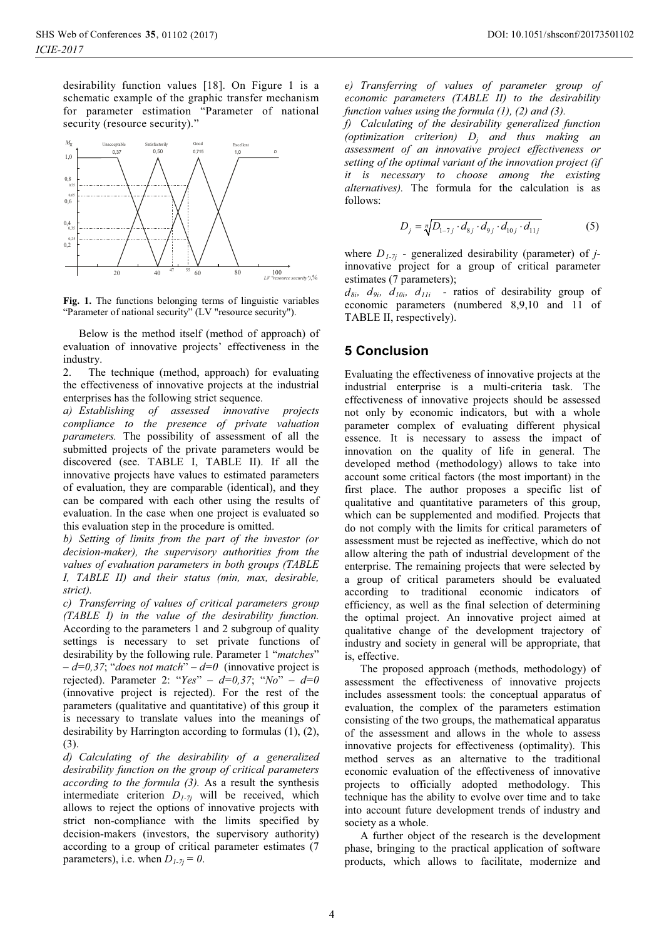desirability function values [18]. On Figure 1 is a schematic example of the graphic transfer mechanism for parameter estimation "Parameter of national security (resource security)."



**Fig. 1.** The functions belonging terms of linguistic variables "Parameter of national security" (LV "resource security").

Below is the method itself (method of approach) of evaluation of innovative projects' effectiveness in the industry.

2. The technique (method, approach) for evaluating the effectiveness of innovative projects at the industrial enterprises has the following strict sequence.

*a) Establishing of assessed innovative projects compliance to the presence of private valuation parameters.* The possibility of assessment of all the submitted projects of the private parameters would be discovered (see. TABLE I, TABLE II). If all the innovative projects have values to estimated parameters of evaluation, they are comparable (identical), and they can be compared with each other using the results of evaluation. In the case when one project is evaluated so this evaluation step in the procedure is omitted.

*b) Setting of limits from the part of the investor (or decision-maker), the supervisory authorities from the values of evaluation parameters in both groups (TABLE I, TABLE II) and their status (min, max, desirable, strict).* 

*c) Transferring of values of critical parameters group (TABLE I) in the value of the desirability function.*  According to the parameters 1 and 2 subgroup of quality settings is necessary to set private functions of desirability by the following rule. Parameter 1 "*matches*" – *d=0,37*; "*does not match*" – *d=0* (innovative project is rejected). Parameter 2: "*Yes*" – *d=0,37*; "*No*" – *d=0* (innovative project is rejected). For the rest of the parameters (qualitative and quantitative) of this group it is necessary to translate values into the meanings of desirability by Harrington according to formulas (1), (2), (3).

*d) Calculating of the desirability of a generalized desirability function on the group of critical parameters according to the formula (3).* As a result the synthesis intermediate criterion *D1-7j* will be received, which allows to reject the options of innovative projects with strict non-compliance with the limits specified by decision-makers (investors, the supervisory authority) according to a group of critical parameter estimates (7 parameters), i.e. when  $D_{1-7i} = 0$ .

*e) Transferring of values of parameter group of economic parameters (TABLE II) to the desirability function values using the formula (1), (2) and (3).* 

*f) Calculating of the desirability generalized function (optimization criterion) Dj and thus making an assessment of an innovative project effectiveness or setting of the optimal variant of the innovation project (if it is necessary to choose among the existing alternatives).* The formula for the calculation is as follows:

$$
D_j = \sqrt[n]{D_{1-7j} \cdot d_{8j} \cdot d_{9j} \cdot d_{10j} \cdot d_{11j}}
$$
 (5)

where *D1-7j* - generalized desirability (parameter) of *j*innovative project for a group of critical parameter estimates (7 parameters);

 $d_{8i}$ ,  $d_{9i}$ ,  $d_{10i}$ ,  $d_{11i}$  - ratios of desirability group of economic parameters (numbered 8,9,10 and 11 of TABLE II, respectively).

#### **5 Conclusion**

Evaluating the effectiveness of innovative projects at the industrial enterprise is a multi-criteria task. The effectiveness of innovative projects should be assessed not only by economic indicators, but with a whole parameter complex of evaluating different physical essence. It is necessary to assess the impact of innovation on the quality of life in general. The developed method (methodology) allows to take into account some critical factors (the most important) in the first place. The author proposes a specific list of qualitative and quantitative parameters of this group, which can be supplemented and modified. Projects that do not comply with the limits for critical parameters of assessment must be rejected as ineffective, which do not allow altering the path of industrial development of the enterprise. The remaining projects that were selected by a group of critical parameters should be evaluated according to traditional economic indicators of efficiency, as well as the final selection of determining the optimal project. An innovative project aimed at qualitative change of the development trajectory of industry and society in general will be appropriate, that is, effective.

The proposed approach (methods, methodology) of assessment the effectiveness of innovative projects includes assessment tools: the conceptual apparatus of evaluation, the complex of the parameters estimation consisting of the two groups, the mathematical apparatus of the assessment and allows in the whole to assess innovative projects for effectiveness (optimality). This method serves as an alternative to the traditional economic evaluation of the effectiveness of innovative projects to officially adopted methodology. This technique has the ability to evolve over time and to take into account future development trends of industry and society as a whole.

A further object of the research is the development phase, bringing to the practical application of software products, which allows to facilitate, modernize and